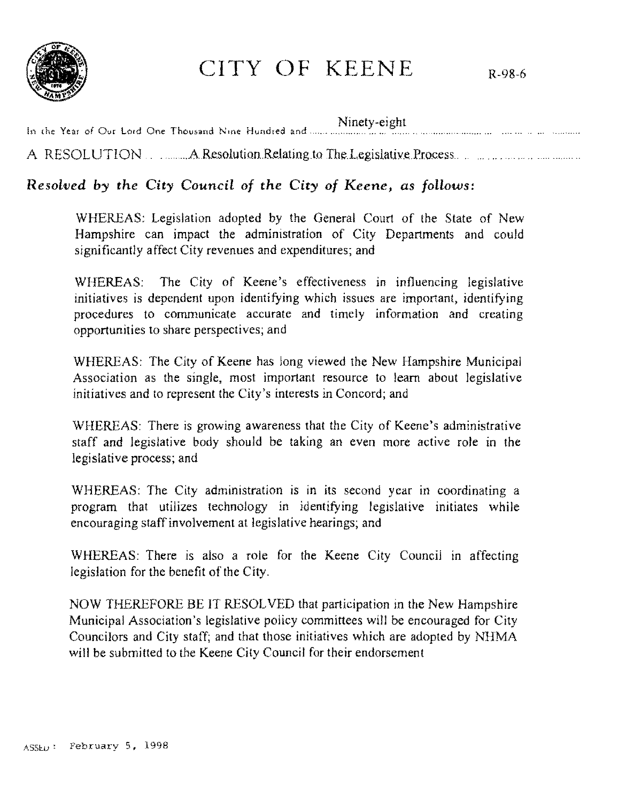

# CITY OF KEENE R-98-6

In the Year of Our Lord One Thousand Nine Hundred and ...... **Ninety-eight** A RESOLUTION .. ..AResolutionRelatingto TheLegislativePwcess

## *Resolved by the City Council* **of** *the City* **of** *Keene, as follows:*

WHEREAS: Legislation adopted by the General Court of the State of New Hampshire can impact the administration of City Departments and could significantly affect City revenues and expenditures; and

WHEREAS: The City of Keene's effectiveness in influencing legislative initiatives is dependent upon identifying which issues are important, identifying procedures to communicate accurate and timely information and creating opportunities to share perspectives; and

WHEREAS: The City of Keene has long viewed the New Hampshire Municipal Association as the single, most important resource to learn about legislative initiatives and to represent the City's interests in Concord; and

WHEREAS: There is growing awareness that the City of Keene's administrative staff and legislative body should be taking an even more active role in the legislative process; and

WHEREAS: The City administration is in its second year in coordinating a program that utilizes technology in identifying legislative initiates while encouraging staffinvolvement at legislative hearings; and

WHEREAS: There is also a role for the Keene City Council in affecting legislation for the benefit of the City.

NOW THEREFORE BE IT RESOL VED that participation in the New Hampshire Municipal Association's legislative policy committees will be encouraged for City Councilors and City staff; and that those initiatives which are adopted by NHMA will be submitted to the Keene City Council for their endorsement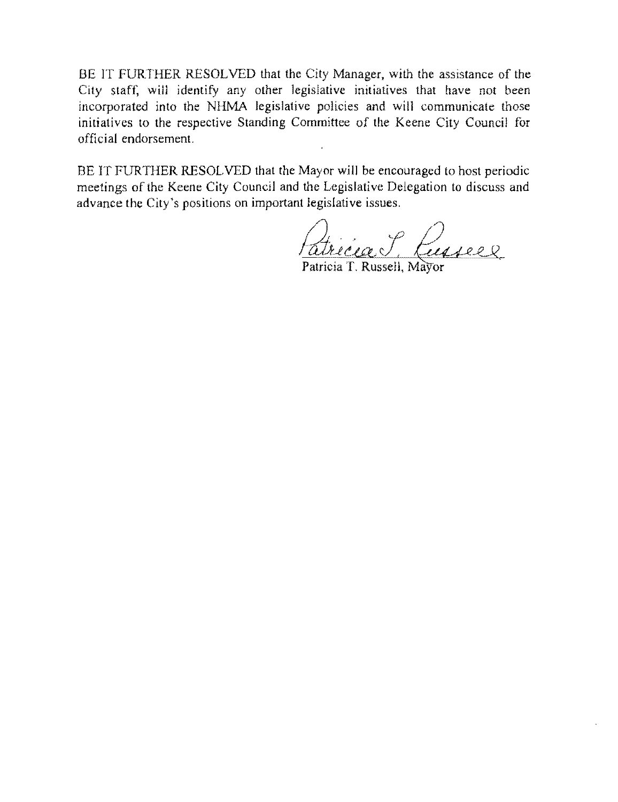BE IT FURTHER RESOLVED that the City Manager, with the assistance of the City staff, will identify any other legislative initiatives that have not been incorporated into the NHMA legislative policies and will communicate those initiatives to the respective Standing Committee of the Keene City Council for official endorsement.

BE IT FURTHER RESOLVED that the Mayor will be encouraged to host periodic meetings of the Keene City Council and the Legislative Delegation to discuss and advance the City's positions on important legislative issues.

<u>h avec caus</u>  $\overline{\mathcal{C}}$  ,  $\overline{\mathcal{C}}$ Kusseel

Patricia T. Russell, Mayor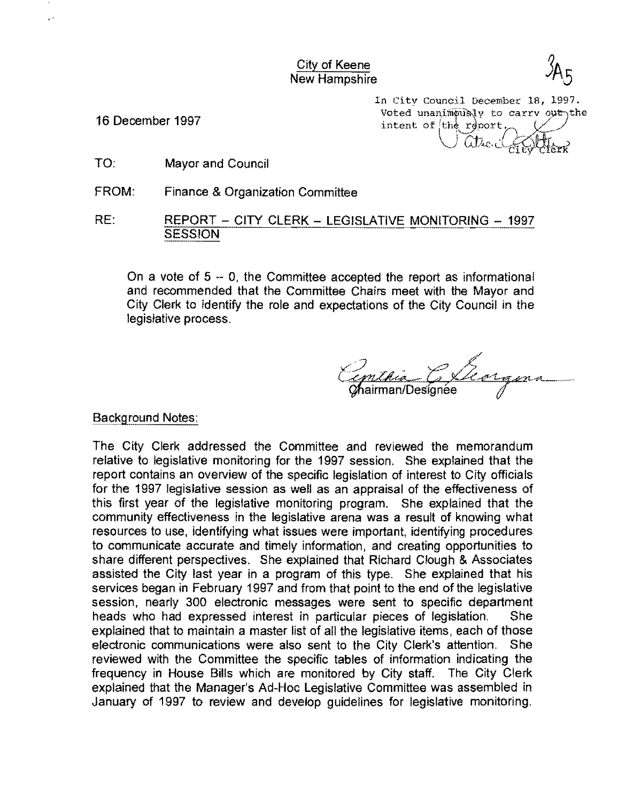City of Keene New Hampshire

 $\ddot{\phantom{1}}$ 

In City Council December 18, 1997. 16 December 1997  $\frac{16}{16}$  December 1997 intent of  $th\acute{e}$  report.  $\alpha$ tic.c

- TO: Mayor and Council
- FROM: Finance & Organization Committee

RE: REPORT - CITY CLERK - LEGISLATIVE MONITORING - 1997 SESSION

On a vote of  $5 - 0$ , the Committee accepted the report as informational and recommended that the Committee Chairs meet with the Mayor and City Clerk to identify the role and expectations of the City Council in the legislative process.

Chairman/Designée

#### Background Notes:

The City Clerk addressed the Committee and reviewed the memorandum relative to legislative monitoring for the 1997 session. She explained that the report contains an overview of the specific legislation of interest to City officials for the 1997 legislative session as well as an appraisal of the effectiveness of this first year of the legislative monitoring program. She explained that the community effectiveness in the legislative arena was a result of knowing what resources to use, identifying what issues were important, identifying procedures to communicate accurate and timely information, and creating opportunities to share different perspectives. She explained that Richard Clough & Associates assisted the City last year in a program of this type. She explained that his services began in February 1997 and from that point to the end of the legislative session, nearly 300 electronic messages were sent to specific department heads who had expressed interest in particular pieces of legislation. She explained that to maintain a master list of all the legislative items, each of those electronic communications were also sent to the City Clerk's attention. She reviewed with the Committee the specific tables of information indicating the frequency in House Bills which are monitored by City staff. The City Clerk explained that the Manager's Ad-Hoc Legislative Committee was assembled in January of 1997 to review and develop guidelines for legislative monitoring.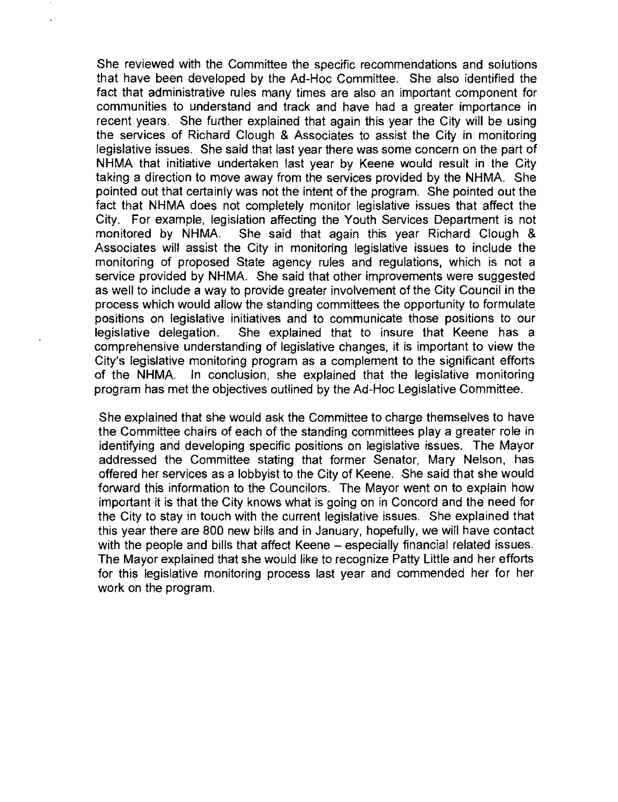She reviewed with the Committee the specific recommendations and solutions that have been developed by the Ad-Hoc Committee. She also identified the fact that administrative rules many times are also an important component for communities to understand and track and have had a greater importance in recent years. She further explained that again this year the City will be using the services of Richard Clough & Associates to assist the City in monitoring legislative issues. She said that last year there was some concern on the part of NHMA that initiative undertaken last year by Keene would result in the City taking a direction to move away from the services provided by the NHMA. She pointed out that certainly was not the intent of the program. She pointed out the fact that NHMA does not completely monitor legislative issues that affect the City. For example, legislation affecting the Youth Services Department is not monitored by NHMA. She said that again this year Richard Clough & Associates will assist the City in monitoring legislative issues to include the monitoring of proposed State agency rules and regulations, which is not a service provided by NHMA. She said that other improvements were suggested as well to include a way to provide greater involvement of the City Council in the process which would allow the standing committees the opportunity to formulate positions on legislative initiatives and to communicate those positions to our legislative delegation. She explained that to insure that Keene has a comprehensive understanding of legislative changes, it is important to view the City's legislative monitoring program as a complement to the significant efforts of the NHMA. In conclusion, she explained that the legislative monitoring program has met the objectives outlined by the Ad-Hoc Legislative Committee.

She explained that she would ask the Committee to charge themselves to have the Committee chairs of each of the standing committees playa greater role in identifying and developing specific positions on legislative issues. The Mayor addressed the Committee stating that former Senator, Mary Nelson, has offered her services as a lobbyist to the City of Keene. She said that she would forward this information to the Councilors. The Mayor went on to explain how important it is that the City knows what is going on in Concord and the need for the City to stay in touch with the current legislative issues. She explained that this year there are 800 new bills and in January, hopefully, we will have contact with the people and bills that affect Keene - especially financial related issues. The Mayor explained that she would like to recognize Patty Little and her efforts for this legislative monitoring process last year and commended her for her work on the program.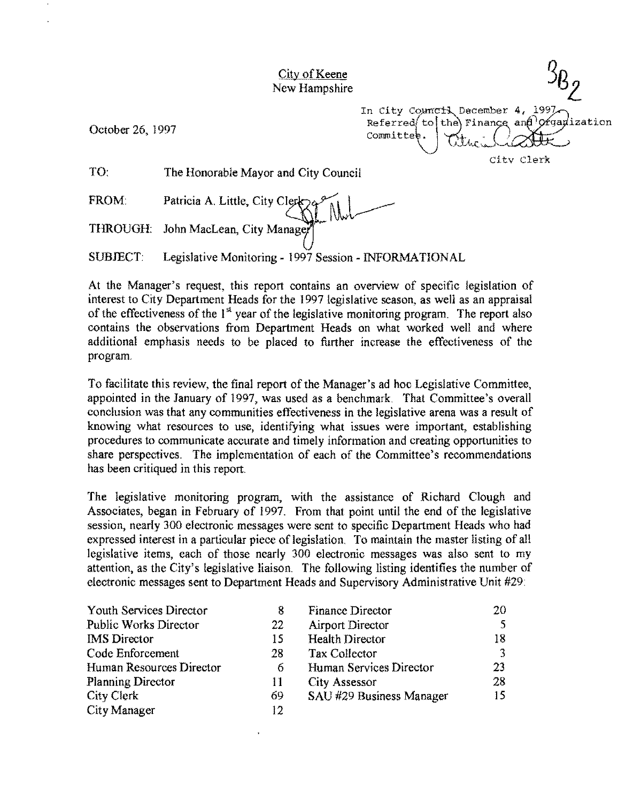## City of Keene New Hampshire

October 26, 1997

In City Council December 4, 1997<br>Referred to the Finance and Organization Committee JJ.AM:.~ citv Clerk

TO: The Honorable Mayor and City Council

FROM THROUGH: Patricia A. Little, City Clerk John MacLean, City Manager

SUBJECT: Legislative Monitoring - 1997 Session - INFORMATIONAL

At the Manager's request, this report contains an overview of specific legislation of interest to City Department Heads for the 1997 legislative season, as well as an appraisal of the effectiveness of the  $1<sup>st</sup>$  year of the legislative monitoring program. The report also contains the observations from Department Heads on what worked well and where additional emphasis needs to be placed to further increase the effectiveness of the program.

To facilitate this review, the final report of the Manager's ad hoc Legislative Committee, appointed in the January of 1997, was used as a benchmark. That Committee's overall conclusion was that any communities effectiveness in the legislative arena was a result of knowing what resources to use, identifying what issues were important, establishing proecdures to communicate accurate and timely information and creating opportunities to share perspectives. The implementation of each of the Committee's recommendations has been critiqued in this report.

The legislative monitoring program, with the assistance of Richard Clough and Associates, began in February of 1997. From that point until the end of the legislative session, nearly 300 electronic messages were sent to specific Department Heads who had expressed interest in a particular piece of legislation. To maintain the master listing of all legislative items, each of those nearly 300 electronic messages was also sent to my attention, as the City's legislative liaison. The following listing identifies the number of electronic messages sent to Department Heads and Supervisory Administrative Unit #29:

| Youth Services Director      | 8  | Finance Director         | 20 |
|------------------------------|----|--------------------------|----|
| <b>Public Works Director</b> | 22 | <b>Airport Director</b>  |    |
| <b>IMS</b> Director          | 15 | <b>Health Director</b>   | 18 |
| Code Enforcement             | 28 | Tax Collector            |    |
| Human Resources Director     | 6  | Human Services Director  | 23 |
| <b>Planning Director</b>     | 11 | <b>City Assessor</b>     | 28 |
| City Clerk                   | 69 | SAU #29 Business Manager | 15 |
| City Manager                 | 12 |                          |    |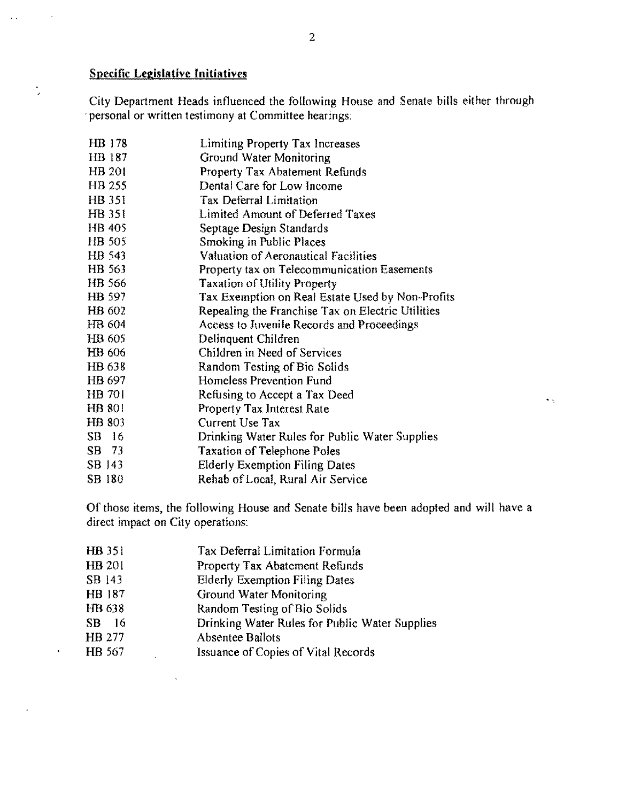## Specific **Legislative Initiatives**

 $\ddot{\phantom{a}}$ 

 $\frac{1}{2}$ 

 $\hat{\mathbf{r}}$ 

 $\mathbf{r}$  .

City Department Heads influenced the following House and Senate bills either through 'personal or written testimony at Committee hearings:

| HB 178        | Limiting Property Tax Increases                   |
|---------------|---------------------------------------------------|
| HB 187        | Ground Water Monitoring                           |
| HB 201        | <b>Property Tax Abatement Refunds</b>             |
| <b>HB 255</b> | Dental Care for Low Income                        |
| HB 351        | Tax Deferral Limitation                           |
| HB 351        | Limited Amount of Deferred Taxes                  |
| HB 405        | Septage Design Standards                          |
| HB 505        | Smoking in Public Places                          |
| HB 543        | <b>Valuation of Aeronautical Facilities</b>       |
| HB 563        | Property tax on Telecommunication Easements       |
| HB 566        | <b>Taxation of Utility Property</b>               |
| HB 597        | Tax Exemption on Real Estate Used by Non-Profits  |
| HB 602        | Repealing the Franchise Tax on Electric Utilities |
| HB 604        | Access to Juvenile Records and Proceedings        |
| HB 605        | Delinquent Children                               |
| HB 606        | Children in Need of Services                      |
| HB 638        | Random Testing of Bio Solids                      |
| HB 697        | Homeless Prevention Fund                          |
| HB 701        | Refusing to Accept a Tax Deed                     |
| HB 801        | Property Tax Interest Rate                        |
| HB 803        | Current Use Tax                                   |
| SB 16         | Drinking Water Rules for Public Water Supplies    |
| SB 73         | <b>Taxation of Telephone Poles</b>                |
| SB 143        | <b>Elderly Exemption Filing Dates</b>             |
| SB 180        | Rehab of Local, Rural Air Service                 |

Of those items, the following House and Senate bills have been adopted and will have a direct impact on City operations:

 $\tilde{\gamma}$   $\tilde{\gamma}$ 

| HB 351 | Tax Deferral Limitation Formula                |
|--------|------------------------------------------------|
| HB 201 | <b>Property Tax Abatement Refunds</b>          |
| SB 143 | <b>Elderly Exemption Filing Dates</b>          |
| HB 187 | Ground Water Monitoring                        |
| HB 638 | Random Testing of Bio Solids                   |
| SB 16  | Drinking Water Rules for Public Water Supplies |
| HB 277 | <b>Absentee Ballots</b>                        |
| HB 567 | Issuance of Copies of Vital Records            |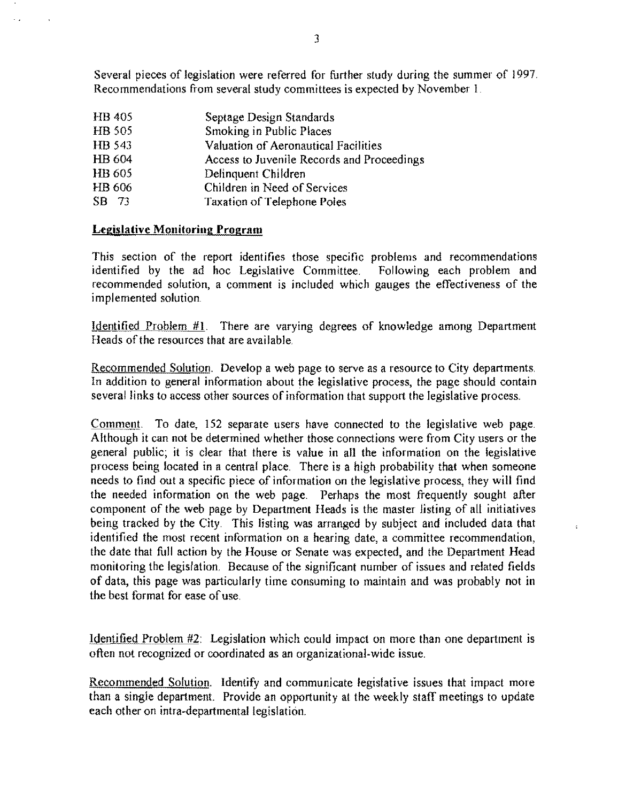Several pieces of legislation were referred for further study during the summer of 1997. Recommendations from several study committees is expected by November I.

**HB405** HB 505 HB 543 HB604 HB605 HB606 SB 7J Septage Design Standards Smoking in Public Places Valuation of Aeronautical Facilities Access to Juvenile Records and Proceedings Delinquent Children Children in Need of Services Taxation of Telephone Poles

## Legislative Monitoring Program

 $\sim$   $\sim$ 

This section of the report identifies those specific problems and recommendations identified by the ad hoc Legislative Committee. Following each problem and recommended solution, a comment is included which gauges the effectiveness of the implemented solution.

Identified Problem  $#1$ . There are varying degrees of knowledge among Department Heads of the resources that are available.

Recommended Solution. Develop a web page to serve as a resource to City departments. In addition to general information about the legislative process, the page should contain several links to access other sources of information that support the legislative process.

Comment. To date, 152 separate users have connected to the legislative web page. Although it can not be determined whether those connections were from City users or the general public; it is clear that there is value in all the information on the legislative process being located in a central place. There is a high probability that when someone needs to find out a specific piece of information on the legislative process, they will find the needed information on the web page. Perhaps the most frequently sought after component of the web page by Department Heads is the master listing of all initiatives being tracked by the City. This listing was arranged by subject and included data that identified the most recent information on a hearing date, a committee recommendation, the date that full action by the House or Senate was expected, and the Department Head monitoring the legislation. Because of the significant number of issues and related fields of data, this page was particularly time consuming to maintain and was probably not in the best format for ease of use.

 $\bar{\zeta}$ 

Identified Problem #2: Legislation which could impact on more than one department is often not recognized or coordinated as an organizational-wide issue.

Recommended Solution. Identify and communicate legislative issues that impact more than a single department. Provide an opportunity at the weekly staff meetings to update each other on intra-departmental legislation.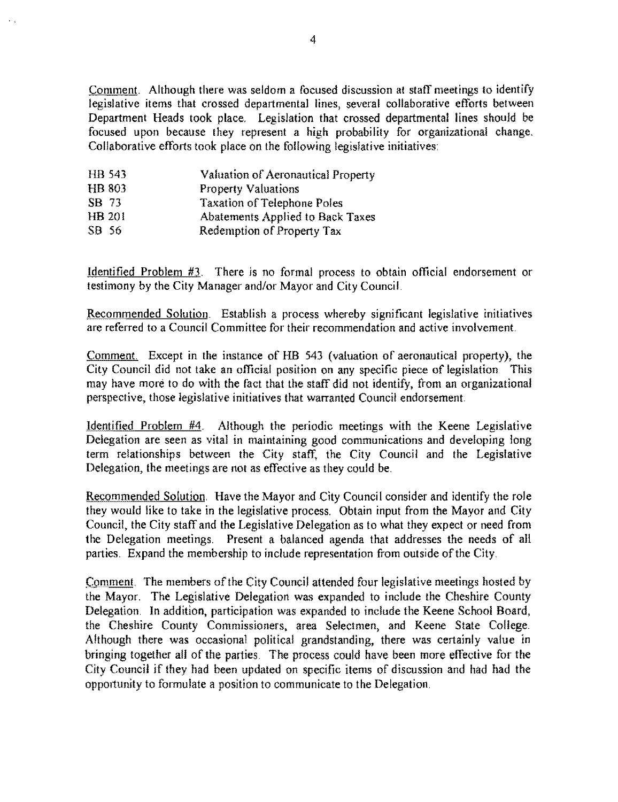Comment. Although there was seldom a focused discussion at staff meetings to identify legislative items that crossed departmental lines, several collaborative efforts between Department Heads took place, Legislation that crossed departmental lines should be focused upon because they represent a high probability for organizational change. Collaborative efforts took place on the following legislative initiatives:

| HB 543        | Valuation of Aeronautical Property |
|---------------|------------------------------------|
| <b>HB 803</b> | <b>Property Valuations</b>         |
| SB 73         | <b>Taxation of Telephone Poles</b> |
| HB 201        | Abatements Applied to Back Taxes   |
| SB 56         | Redemption of Property Tax         |

Identified Problem #3, There is no formal process to obtain official endorsement or testimony by the City Manager and/or Mayor and City Council.

Recommended Solution, Establish a process whereby significant legislative initiatives are referred to a Council Committee for their recommendation and active involvement.

Comment. Except in the instance of HB 543 (valuation of aeronautical property), the City Council did not take an official position on any specific piece of legislation This may have more to do with the fact that the staff did not identify, from an organizational perspective, those legislative initiatives that warranted Council endorsement.

Identified Problem #4, Although the periodic meetings with the Keene Legislative Delegation are seen as vital in maintaining good communications and developing long term relationships between the City staff, the City Council and the Legislative Delegation, the meetings are not as effective as they could be,

Recommended Solution, Have the Mayor and City Council consider and identify the role they would like to take in the legislative process, Obtain input from the Mayor and City Couneil, the City staff and the Legislative Delegation as to what they expect or need from the Delegation meetings, Present a balanced agenda that addresses the needs of all parties, Expand the membership to include representation from outside of the City,

Comment. The members of the City Council attended four legislative meetings hosted by the Mayor. The Legislative Delegation was expanded to include the Cheshire County Delegation, In addition, participation was expanded to include the Keene School Board, the Cheshire County Commissioners, area Selectmen, and Keene State College, Although there was occasional political grandstanding, there was certainly value in bringing together all of the parties. The process could have been more effective for the City Council jf they had been updated on specific items of discussion and had had the opportunity to formulate a position to communicate to the Delegation.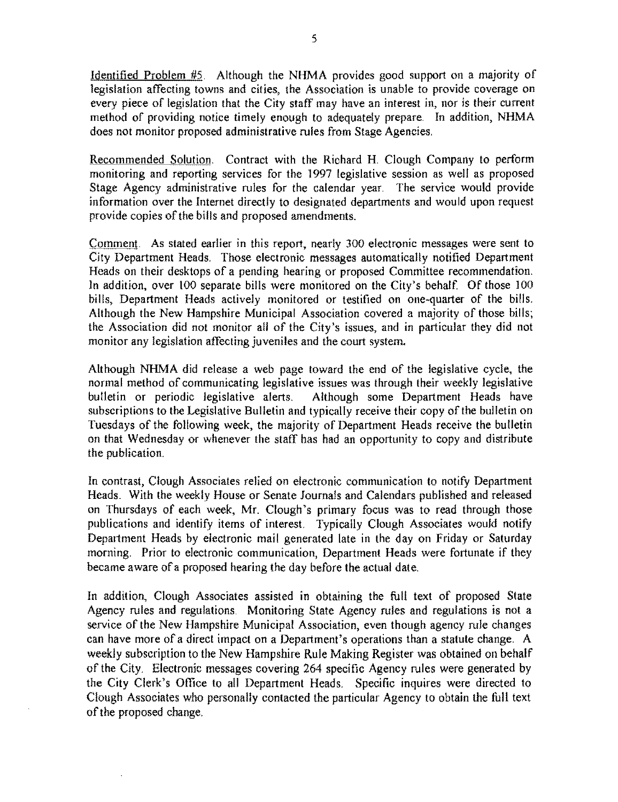Identified Problem #5. Although the NHMA provides good support on a majority of legislation affecting towns and cities, the Association is unable to provide coverage on every piece of legislation that the City staff may have an interest in, nor is their current method of providing notice timely enough to adequately prepare. In addition, NHMA does not monitor proposed administrative rules from Stage Agencies.

Recommended Solution. Contract with the Richard H. Clough Company to perform monitoring and reporting services for the 1997 legislative session as well as proposed Stage Agency administrative rules for the calendar year. The service would provide information over the Internet directly to designated departments and would upon request provide copies of the bills and proposed amendments.

Comment. As stated earlier in this report, nearly 300 electronic messages were sent to City Department Heads. Those electronic messages automatically notified Department Heads on their desktops of a pending hearing or proposed Committee recommendation. In addition, over 100 separate bills were monitored on the City's behalf. Of those 100 bills, Department Heads actively monitored or testified on one-quarter of the bills. Although the New Hampshire Municipal Association covered a majority of those bills; the Association did not monitor all of the City's issues, and in particular they did not monitor any legislation affecting juveniles and the court system.

Although NHMA did release a web page toward the end of the legislative cycle, the normal method of communicating legislative issues was through their weekly legislative bulletin or periodic legislative alerts. Although some Department Heads have Although some Department Heads have subscriptions to the Legislative Bulletin and typically receive their copy of the bulletin on Tuesdays of the following week, the majority of Department Heads receive the bulletin on that Wednesday or whenever the staff has had an opportunity to copy and distribute the publication,

In contrast, Clough Associates relied on electronic communication to notify Department Heads. With the weekly House or Senate Journals and Calendars published and released on Thursdays of each week, Mr. Clough's primary focus was to read through those publications and identify items of interest. Typically Clough Associates would notify Department Heads by electronic mail generated late in the day on Friday or Saturday morning, Prior to electronic communication, Department Heads were fortunate if they became aware of a proposed hearing the day before the actual date,

In addition, Clough Associates assisted in obtaining the full text of proposed State Agency rules and regulations. Monitoring State Agency rules and regulations is not a service of the New Hampshire Municipal Association, even though agency rule changes can have more of a direct impact on a Department's operations than a statute change, A weekly subscription to the New Hampshire Rule Making Register was obtained on behalf of the City, Electronic messages covering 264 specific Agency rules were generated by the City Clerk's Office to all Department Heads. Specific inquires were directed to Clough Associates who personally contacted the particular Agency to obtain the full text of the proposed change,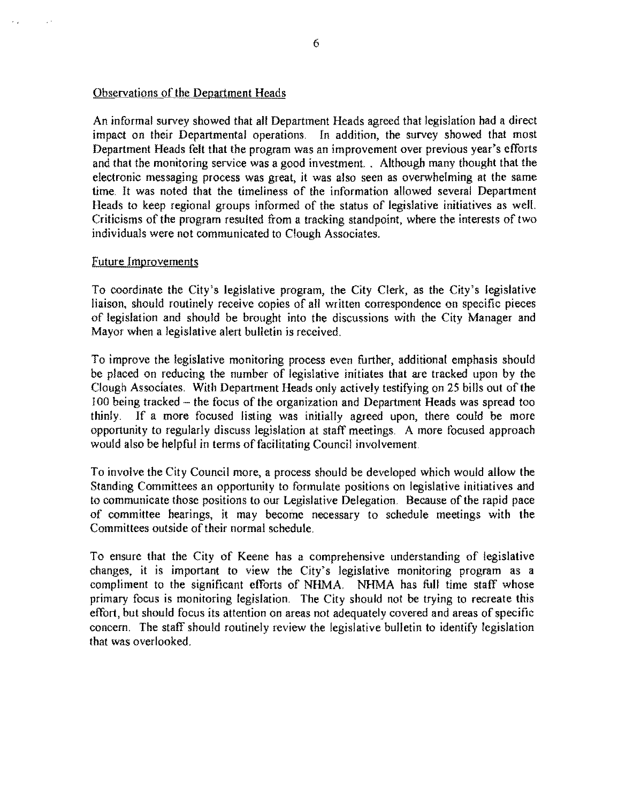### Observations of the Department Heads

An informal survey showed that all Department Heads agreed that legislation had a direct impact on their Departmental operations. In addition, the survey showed that most Department Heads felt that the program was an improvement over previous year's efforts and that the monitoring service was a good investment. Although many thought that the electronic messaging process was great, it was also seen as overwhelming at the same time. It was noted that the timeliness of the information allowed several Department Heads to keep regional groups informed of the status of legislative initiatives as well. Criticisms of the program resulted from a tracking standpoint, where the interests of two individuals were not communicated to Clough Associates.

### Future Improvements

To coordinate the City's legislative program, the City Clerk, as the City's legislative liaison, should routinely receive copies of all written correspondence on specific pieces of legislation and should be brought into the discussions with the City Manager and Mayor when a legislative alert bulletin is received.

To improve the legislative monitoring process even further, additional emphasis should be placed on reducing the number of legislative initiates that are tracked upon by the Clough Associates. With Department Heads only actively testifying on 25 bills out of the 100 being tracked - the focus of the organization and Department Heads was spread too thinly. **If** a more focused listing was initially agreed upon, there could be more opportunity to regularly discuss legislation at staff meetings. A more focused approach would also be helpful in terms of facilitating Council involvement.

To involve the City Council more, a process should be developed which would allow the Standing Committees an opportunity to formulate positions on legislative initiatives and to communicate those positions to our Legislative Delegation. Because of the rapid pace of committee hearings, it may become necessary to schedule meetings with the Committees outside of their normal schedule.

To ensure that the City of Keene has a comprehensive understanding of legislative changes, it is important to view the City's legislative monitoring program as a compliment to the significant efforts of NHMA. NHMA has full time staff whose primary focus is monitoring legislation. The City should not be trying to recreate this effort, but should focus its attention on areas not adequately covered and areas of specific concern. The staff should routinely review the legislative bulletin to identify legislation that was overlooked.